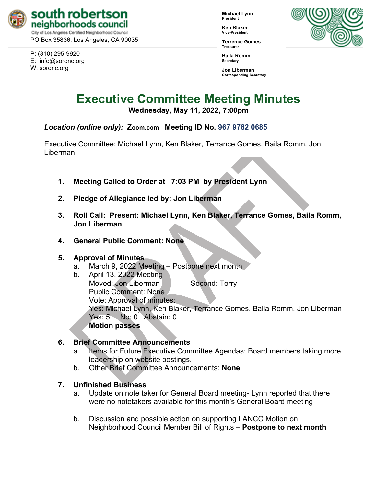

PO Box 35836, Los Angeles, CA 90035

P: (310) 295-9920 E: [info@soronc.org](mailto:info@soronc.org) W: soronc.org

**Michael Lynn President**

**Ken Blaker Vice-President**

**Terrence Gomes Treasurer**

**Baila Romm Secretary**



**Jon Liberman Corresponding Secretary**

# **Executive Committee Meeting Minutes**

**Wednesday, May 11, 2022, 7:00pm**

# *Location (online only):* **[Zoom.com](https://zoom.us/j/96797820685) Meeting ID No. 967 9782 0685**

Executive Committee: Michael Lynn, Ken Blaker, Terrance Gomes, Baila Romm, Jon Liberman

- **1. Meeting Called to Order at 7:03 PM by President Lynn**
- **2. Pledge of Allegiance led by: Jon Liberman**
- **3. Roll Call: Present: Michael Lynn, Ken Blaker, Terrance Gomes, Baila Romm, Jon Liberman**
- **4. General Public Comment: None**

## **5. Approval of Minutes**

- a. March 9, 2022 Meeting Postpone next month
- b. April 13, 2022 Meeting Moved: Jon Liberman Second: Terry Public Comment: None Vote: Approval of minutes: Yes: Michael Lynn, Ken Blaker, Terrance Gomes, Baila Romm, Jon Liberman Yes: 5 No: 0 Abstain: 0 **Motion passes**

# **6. Brief Committee Announcements**

- a. Items for Future Executive Committee Agendas: Board members taking more leadership on website postings.
- b. Other Brief Committee Announcements: **None**

# **7. Unfinished Business**

- a. Update on note taker for General Board meeting- Lynn reported that there were no notetakers available for this month's General Board meeting
- b. Discussion and possible action on supporting LANCC Motion on Neighborhood Council Member Bill of Rights – **Postpone to next month**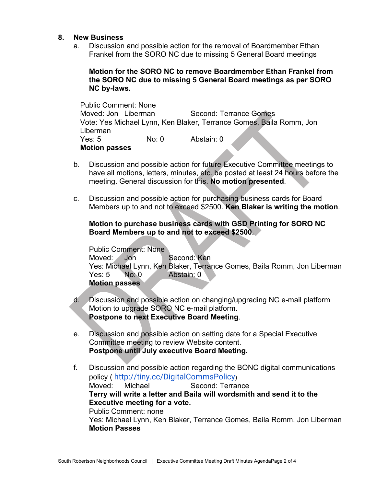#### **8. New Business**

a. Discussion and possible action for the removal of Boardmember Ethan Frankel from the SORO NC due to missing 5 General Board meetings

### **Motion for the SORO NC to remove Boardmember Ethan Frankel from the SORO NC due to missing 5 General Board meetings as per SORO NC by-laws.**

Public Comment: None Moved: Jon Liberman Second: Terrance Gomes Vote: Yes Michael Lynn, Ken Blaker, Terrance Gomes, Baila Romm, Jon Liberman<br>Yes: 5 No: 0 Abstain: 0 **Motion passes**

- b. Discussion and possible action for future Executive Committee meetings to have all motions, letters, minutes, etc. be posted at least 24 hours before the meeting. General discussion for this. **No motion presented**.
- c. Discussion and possible action for purchasing business cards for Board Members up to and not to exceed \$2500. **Ken Blaker is writing the motion**.

#### **Motion to purchase business cards with GSD Printing for SORO NC Board Members up to and not to exceed \$2500.**

Public Comment: None Moved: Jon Second: Ken Yes: Michael Lynn, Ken Blaker, Terrance Gomes, Baila Romm, Jon Liberman Yes: 5 No: 0 Abstain: 0 **Motion passes**

- d. Discussion and possible action on changing/upgrading NC e-mail platform Motion to upgrade SORO NC e-mail platform. **Postpone to next Executive Board Meeting**.
- e. Discussion and possible action on setting date for a Special Executive Committee meeting to review Website content. **Postpone until July executive Board Meeting.**
- f. Discussion and possible action regarding the BONC digital communications policy ( [http://tiny.cc/DigitalCommsPolicy](https://r20.rs6.net/tn.jsp?f=001tHGwSldBWI2RgI80hrf_xYDCWEQxY0Bpzzq0ypmo_tm0UMuB5_ckkSWmEO_5Sdggmf95sreJfpPzgpkefCPNm73z6fff6tQHBCNEbZq1UWuRw-Vc0OMGruKpp9gQnBTLXy_K29VTj8fl65zct9Ci8KzH_GXubMYA&c=zRwz8_uZac7xysnI1I5tLYNcx_sXvxTrhIYeG2J8bjH0u0CpOpc3eg==&ch=Z9inaDIdJEb9uVLiYU0PNN8AD9V4ye06bmGNMENtyIV14U6_OohLuw==)) Moved: Michael Second: Terrance **Terry will write a letter and Baila will wordsmith and send it to the Executive meeting for a vote.** Public Comment: none Yes: Michael Lynn, Ken Blaker, Terrance Gomes, Baila Romm, Jon Liberman **Motion Passes**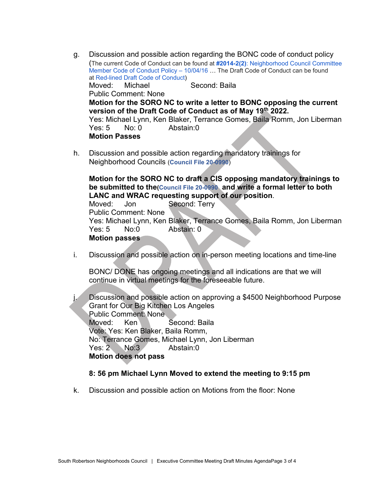- g. Discussion and possible action regarding the BONC code of conduct policy (The current Code of Conduct can be found at **[#2014-2\(2\)](https://empowerla.org/wp-content/uploads/2019/03/NEIGHBORHOOD-COUNCIL-BOARD-MEMBER-CODE-OF-CONDUCT-POLICY.pdf)**[: Neighborhood Council Committee](https://empowerla.org/wp-content/uploads/2019/03/NEIGHBORHOOD-COUNCIL-BOARD-MEMBER-CODE-OF-CONDUCT-POLICY.pdf)  [Member Code of Conduct Policy – 10/04/16](https://empowerla.org/wp-content/uploads/2019/03/NEIGHBORHOOD-COUNCIL-BOARD-MEMBER-CODE-OF-CONDUCT-POLICY.pdf) … The Draft Code of Conduct can be found at [Red-lined Draft Code of Conduct\)](https://empowerla.org/wp-content/uploads/2022/01/Red-lined-Draft-Code-of-Conduct-2-2-22-1.pdf) Moved: Michael Second: Baila Public Comment: None **Motion for the SORO NC to write a letter to BONC opposing the current version of the Draft Code of Conduct as of May 19th 2022.** Yes: Michael Lynn, Ken Blaker, Terrance Gomes, Baila Romm, Jon Liberman Yes: 5 No: 0 Abstain: 0 **Motion Passes**
- h. Discussion and possible action regarding mandatory trainings for Neighborhood Councils (**[Council File 20-0990](https://cityclerk.lacity.org/lacityclerkconnect/index.cfm?fa=ccfi.viewrecord&cfnumber=20-0990)**)

**Motion for the SORO NC to draft a CIS opposing mandatory trainings to be submitted to the[\(Council File 20-0990](https://cityclerk.lacity.org/lacityclerkconnect/index.cfm?fa=ccfi.viewrecord&cfnumber=20-0990) and write a formal letter to both LANC and WRAC requesting support of our position**.

Moved: Jon Second: Terry Public Comment: None Yes: Michael Lynn, Ken Blaker, Terrance Gomes, Baila Romm, Jon Liberman Yes: 5 No:0 Abstain: 0 **Motion passes**

i. Discussion and possible action on in-person meeting locations and time-line

BONC/ DONE has ongoing meetings and all indications are that we will continue in virtual meetings for the foreseeable future.

j. Discussion and possible action on approving a \$4500 Neighborhood Purpose Grant for Our Big Kitchen Los Angeles Public Comment: None Moved: Ken Second: Baila Vote: Yes: Ken Blaker, Baila Romm, No: Terrance Gomes, Michael Lynn, Jon Liberman Yes: 2 No: 3 Abstain: 0 **Motion does not pass**

#### **8: 56 pm Michael Lynn Moved to extend the meeting to 9:15 pm**

k. Discussion and possible action on Motions from the floor: None